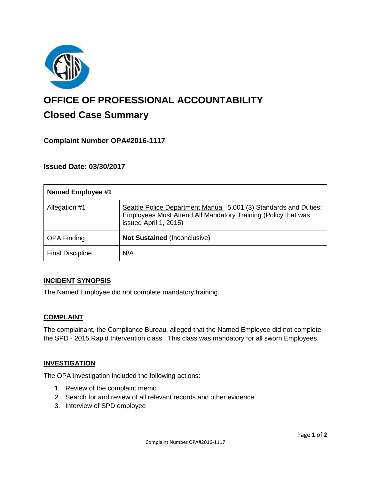

# **OFFICE OF PROFESSIONAL ACCOUNTABILITY Closed Case Summary**

# **Complaint Number OPA#2016-1117**

## **Issued Date: 03/30/2017**

| <b>Named Employee #1</b> |                                                                                                                                                            |
|--------------------------|------------------------------------------------------------------------------------------------------------------------------------------------------------|
| Allegation #1            | Seattle Police Department Manual 5.001 (3) Standards and Duties:<br>Employees Must Attend All Mandatory Training (Policy that was<br>issued April 1, 2015) |
| <b>OPA Finding</b>       | <b>Not Sustained (Inconclusive)</b>                                                                                                                        |
| <b>Final Discipline</b>  | N/A                                                                                                                                                        |

#### **INCIDENT SYNOPSIS**

The Named Employee did not complete mandatory training.

#### **COMPLAINT**

The complainant, the Compliance Bureau, alleged that the Named Employee did not complete the SPD - 2015 Rapid Intervention class. This class was mandatory for all sworn Employees.

#### **INVESTIGATION**

The OPA investigation included the following actions:

- 1. Review of the complaint memo
- 2. Search for and review of all relevant records and other evidence
- 3. Interview of SPD employee